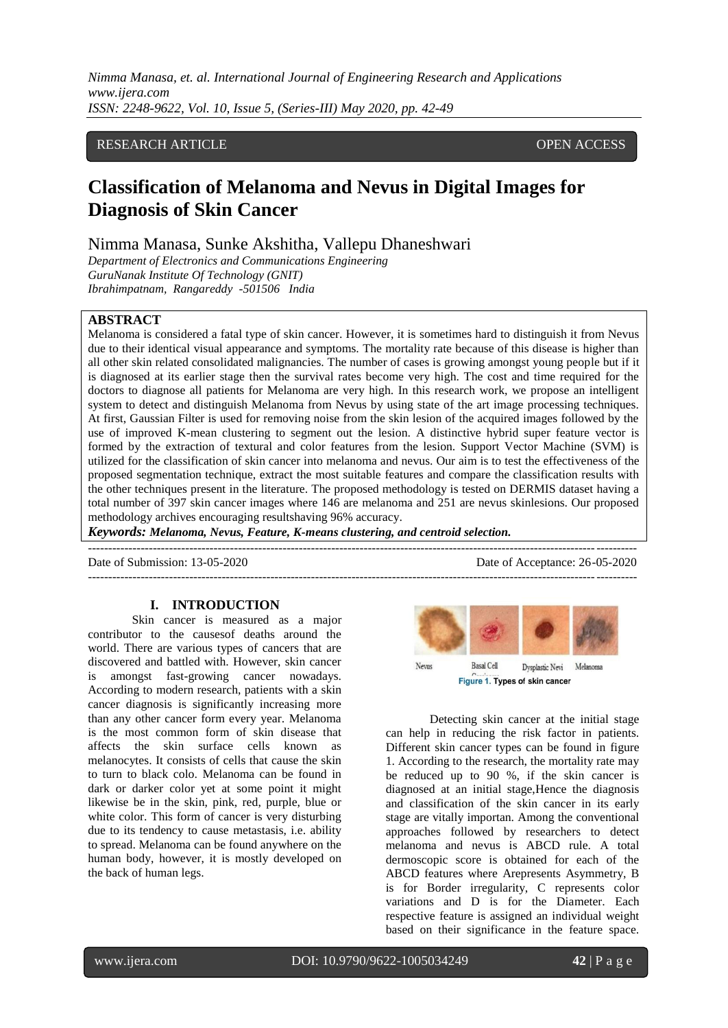# RESEARCH ARTICLE **CONSERVERS** OPEN ACCESS

# **Classification of Melanoma and Nevus in Digital Images for Diagnosis of Skin Cancer**

# Nimma Manasa, Sunke Akshitha, Vallepu Dhaneshwari

*Department of Electronics and Communications Engineering GuruNanak Institute Of Technology (GNIT) Ibrahimpatnam, Rangareddy -501506 India*

# **ABSTRACT**

Melanoma is considered a fatal type of skin cancer. However, it is sometimes hard to distinguish it from Nevus due to their identical visual appearance and symptoms. The mortality rate because of this disease is higher than all other skin related consolidated malignancies. The number of cases is growing amongst young people but if it is diagnosed at its earlier stage then the survival rates become very high. The cost and time required for the doctors to diagnose all patients for Melanoma are very high. In this research work, we propose an intelligent system to detect and distinguish Melanoma from Nevus by using state of the art image processing techniques. At first, Gaussian Filter is used for removing noise from the skin lesion of the acquired images followed by the use of improved K-mean clustering to segment out the lesion. A distinctive hybrid super feature vector is formed by the extraction of textural and color features from the lesion. Support Vector Machine (SVM) is utilized for the classification of skin cancer into melanoma and nevus. Our aim is to test the effectiveness of the proposed segmentation technique, extract the most suitable features and compare the classification results with the other techniques present in the literature. The proposed methodology is tested on DERMIS dataset having a total number of 397 skin cancer images where 146 are melanoma and 251 are nevus skinlesions. Our proposed methodology archives encouraging resultshaving 96% accuracy.

---------------------------------------------------------------------------------------------------------------------------------------

*Keywords: Melanoma, Nevus, Feature, K-means clustering, and centroid selection.*  $-++++++++$ 

Date of Submission: 13-05-2020 Date of Acceptance: 26-05-2020

#### **I. INTRODUCTION**

Skin cancer is measured as a major contributor to the causesof deaths around the world. There are various types of cancers that are discovered and battled with. However, skin cancer is amongst fast-growing cancer nowadays. According to modern research, patients with a skin cancer diagnosis is significantly increasing more than any other cancer form every year. Melanoma is the most common form of skin disease that affects the skin surface cells known as melanocytes. It consists of cells that cause the skin to turn to black colo. Melanoma can be found in dark or darker color yet at some point it might likewise be in the skin, pink, red, purple, blue or white color. This form of cancer is very disturbing due to its tendency to cause metastasis, i.e. ability to spread. Melanoma can be found anywhere on the human body, however, it is mostly developed on the back of human legs.



Detecting skin cancer at the initial stage can help in reducing the risk factor in patients. Different skin cancer types can be found in figure 1. According to the research, the mortality rate may be reduced up to 90 %, if the skin cancer is diagnosed at an initial stage,Hence the diagnosis and classification of the skin cancer in its early stage are vitally importan. Among the conventional approaches followed by researchers to detect melanoma and nevus is ABCD rule. A total dermoscopic score is obtained for each of the ABCD features where Arepresents Asymmetry, B is for Border irregularity, C represents color variations and D is for the Diameter. Each respective feature is assigned an individual weight based on their significance in the feature space.

www.ijera.com DOI: 10.9790/9622-1005034249 **42** | P a g e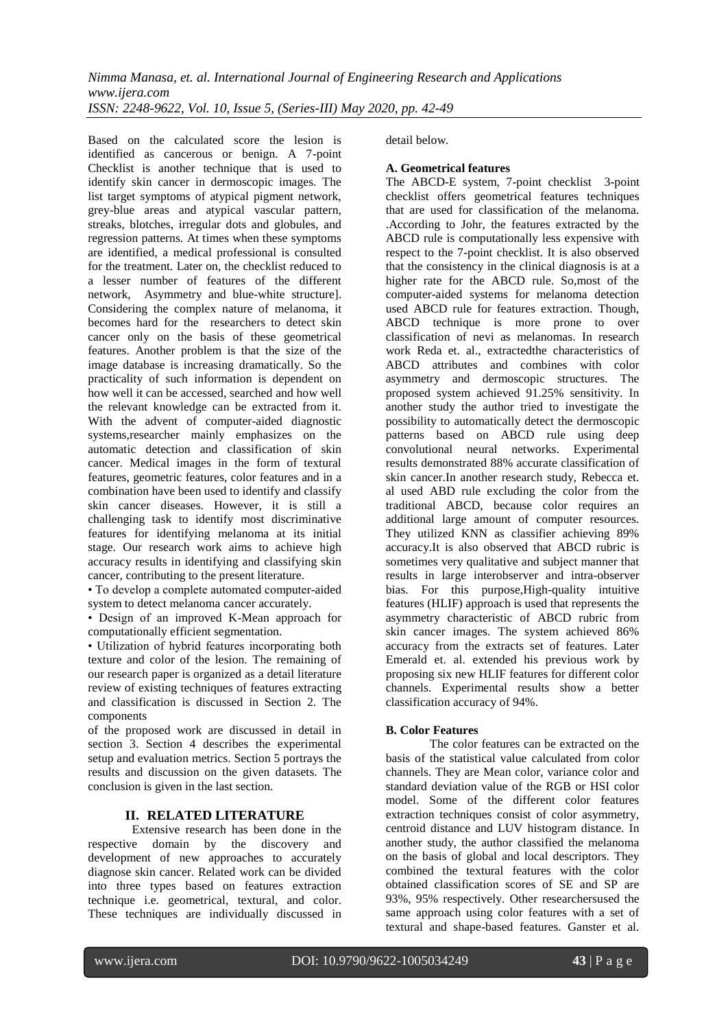Based on the calculated score the lesion is identified as cancerous or benign. A 7-point Checklist is another technique that is used to identify skin cancer in dermoscopic images. The list target symptoms of atypical pigment network, grey-blue areas and atypical vascular pattern, streaks, blotches, irregular dots and globules, and regression patterns. At times when these symptoms are identified, a medical professional is consulted for the treatment. Later on, the checklist reduced to a lesser number of features of the different network, Asymmetry and blue-white structure]. Considering the complex nature of melanoma, it becomes hard for the researchers to detect skin cancer only on the basis of these geometrical features. Another problem is that the size of the image database is increasing dramatically. So the practicality of such information is dependent on how well it can be accessed, searched and how well the relevant knowledge can be extracted from it. With the advent of computer-aided diagnostic systems,researcher mainly emphasizes on the automatic detection and classification of skin cancer. Medical images in the form of textural features, geometric features, color features and in a combination have been used to identify and classify skin cancer diseases. However, it is still a challenging task to identify most discriminative features for identifying melanoma at its initial stage. Our research work aims to achieve high accuracy results in identifying and classifying skin cancer, contributing to the present literature.

• To develop a complete automated computer-aided system to detect melanoma cancer accurately.

• Design of an improved K-Mean approach for computationally efficient segmentation.

• Utilization of hybrid features incorporating both texture and color of the lesion. The remaining of our research paper is organized as a detail literature review of existing techniques of features extracting and classification is discussed in Section 2. The components

of the proposed work are discussed in detail in section 3. Section 4 describes the experimental setup and evaluation metrics. Section 5 portrays the results and discussion on the given datasets. The conclusion is given in the last section.

# **II. RELATED LITERATURE**

Extensive research has been done in the respective domain by the discovery and development of new approaches to accurately diagnose skin cancer. Related work can be divided into three types based on features extraction technique i.e. geometrical, textural, and color. These techniques are individually discussed in detail below.

#### **A. Geometrical features**

The ABCD-E system, 7-point checklist 3-point checklist offers geometrical features techniques that are used for classification of the melanoma. .According to Johr, the features extracted by the ABCD rule is computationally less expensive with respect to the 7-point checklist. It is also observed that the consistency in the clinical diagnosis is at a higher rate for the ABCD rule. So,most of the computer-aided systems for melanoma detection used ABCD rule for features extraction. Though, ABCD technique is more prone to over classification of nevi as melanomas. In research work Reda et. al., extractedthe characteristics of ABCD attributes and combines with color asymmetry and dermoscopic structures. The proposed system achieved 91.25% sensitivity. In another study the author tried to investigate the possibility to automatically detect the dermoscopic patterns based on ABCD rule using deep convolutional neural networks. Experimental results demonstrated 88% accurate classification of skin cancer.In another research study, Rebecca et. al used ABD rule excluding the color from the traditional ABCD, because color requires an additional large amount of computer resources. They utilized KNN as classifier achieving 89% accuracy.It is also observed that ABCD rubric is sometimes very qualitative and subject manner that results in large interobserver and intra-observer bias. For this purpose,High-quality intuitive features (HLIF) approach is used that represents the asymmetry characteristic of ABCD rubric from skin cancer images. The system achieved 86% accuracy from the extracts set of features. Later Emerald et. al. extended his previous work by proposing six new HLIF features for different color channels. Experimental results show a better classification accuracy of 94%.

## **B. Color Features**

The color features can be extracted on the basis of the statistical value calculated from color channels. They are Mean color, variance color and standard deviation value of the RGB or HSI color model. Some of the different color features extraction techniques consist of color asymmetry, centroid distance and LUV histogram distance. In another study, the author classified the melanoma on the basis of global and local descriptors. They combined the textural features with the color obtained classification scores of SE and SP are 93%, 95% respectively. Other researchersused the same approach using color features with a set of textural and shape-based features. Ganster et al.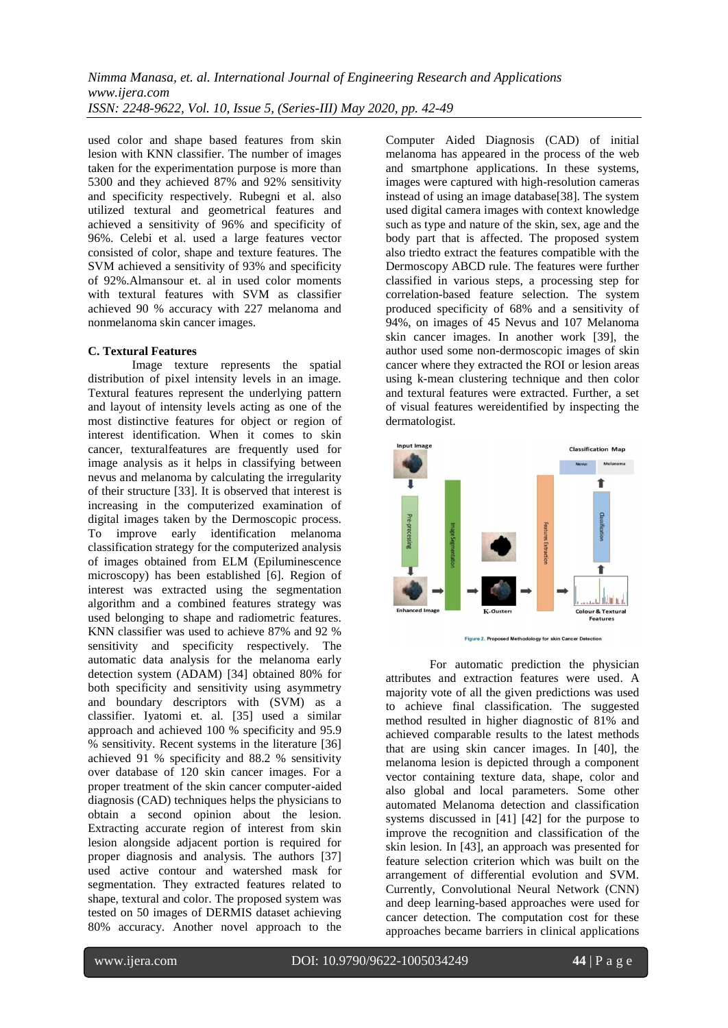used color and shape based features from skin lesion with KNN classifier. The number of images taken for the experimentation purpose is more than 5300 and they achieved 87% and 92% sensitivity and specificity respectively. Rubegni et al. also utilized textural and geometrical features and achieved a sensitivity of 96% and specificity of 96%. Celebi et al. used a large features vector consisted of color, shape and texture features. The SVM achieved a sensitivity of 93% and specificity of 92%.Almansour et. al in used color moments with textural features with SVM as classifier achieved 90 % accuracy with 227 melanoma and nonmelanoma skin cancer images.

## **C. Textural Features**

Image texture represents the spatial distribution of pixel intensity levels in an image. Textural features represent the underlying pattern and layout of intensity levels acting as one of the most distinctive features for object or region of interest identification. When it comes to skin cancer, texturalfeatures are frequently used for image analysis as it helps in classifying between nevus and melanoma by calculating the irregularity of their structure [33]. It is observed that interest is increasing in the computerized examination of digital images taken by the Dermoscopic process. To improve early identification melanoma classification strategy for the computerized analysis of images obtained from ELM (Epiluminescence microscopy) has been established [6]. Region of interest was extracted using the segmentation algorithm and a combined features strategy was used belonging to shape and radiometric features. KNN classifier was used to achieve 87% and 92 % sensitivity and specificity respectively. The automatic data analysis for the melanoma early detection system (ADAM) [34] obtained 80% for both specificity and sensitivity using asymmetry and boundary descriptors with (SVM) as a classifier. Iyatomi et. al. [35] used a similar approach and achieved 100 % specificity and 95.9 % sensitivity. Recent systems in the literature [36] achieved 91 % specificity and 88.2 % sensitivity over database of 120 skin cancer images. For a proper treatment of the skin cancer computer-aided diagnosis (CAD) techniques helps the physicians to obtain a second opinion about the lesion. Extracting accurate region of interest from skin lesion alongside adjacent portion is required for proper diagnosis and analysis. The authors [37] used active contour and watershed mask for segmentation. They extracted features related to shape, textural and color. The proposed system was tested on 50 images of DERMIS dataset achieving 80% accuracy. Another novel approach to the

Computer Aided Diagnosis (CAD) of initial melanoma has appeared in the process of the web and smartphone applications. In these systems, images were captured with high-resolution cameras instead of using an image database[38]. The system used digital camera images with context knowledge such as type and nature of the skin, sex, age and the body part that is affected. The proposed system also triedto extract the features compatible with the Dermoscopy ABCD rule. The features were further classified in various steps, a processing step for correlation-based feature selection. The system produced specificity of 68% and a sensitivity of 94%, on images of 45 Nevus and 107 Melanoma skin cancer images. In another work [39], the author used some non-dermoscopic images of skin cancer where they extracted the ROI or lesion areas using k-mean clustering technique and then color and textural features were extracted. Further, a set of visual features wereidentified by inspecting the dermatologist.





For automatic prediction the physician attributes and extraction features were used. A majority vote of all the given predictions was used to achieve final classification. The suggested method resulted in higher diagnostic of 81% and achieved comparable results to the latest methods that are using skin cancer images. In [40], the melanoma lesion is depicted through a component vector containing texture data, shape, color and also global and local parameters. Some other automated Melanoma detection and classification systems discussed in [41] [42] for the purpose to improve the recognition and classification of the skin lesion. In [43], an approach was presented for feature selection criterion which was built on the arrangement of differential evolution and SVM. Currently, Convolutional Neural Network (CNN) and deep learning-based approaches were used for cancer detection. The computation cost for these approaches became barriers in clinical applications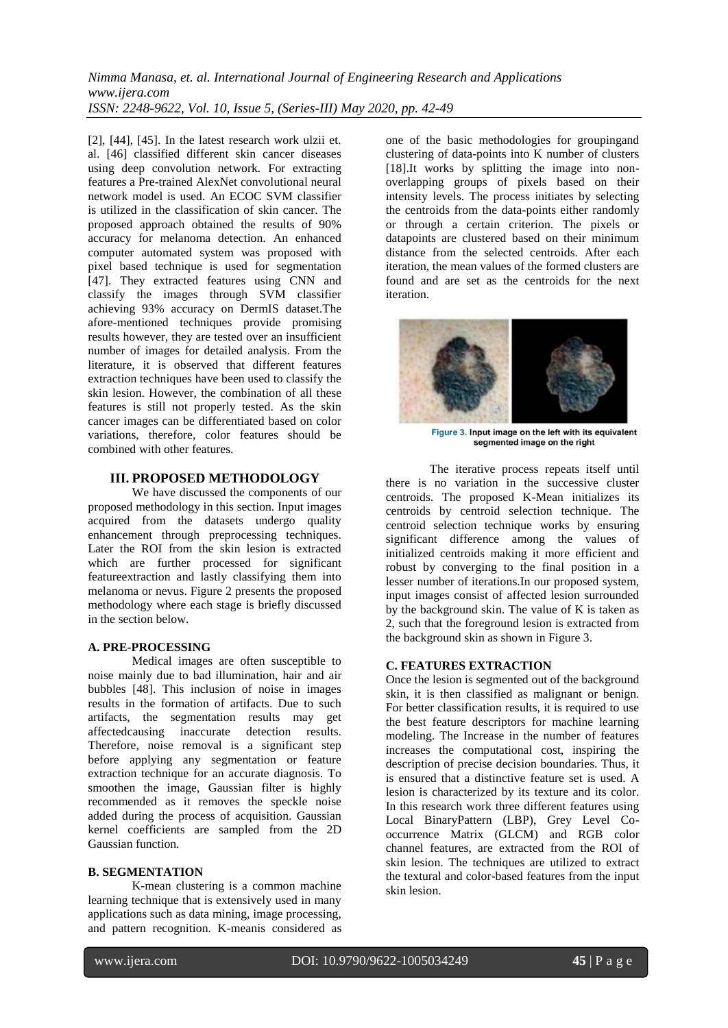$[2]$ ,  $[44]$ ,  $[45]$ . In the latest research work ulzii et. al. [46] classified different skin cancer diseases using deep convolution network. For extracting features a Pre-trained AlexNet convolutional neural network model is used. An ECOC SVM classifier is utilized in the classification of skin cancer. The proposed approach obtained the results of 90% accuracy for melanoma detection. An enhanced computer automated system was proposed with pixel based technique is used for segmentation [47]. They extracted features using CNN and classify the images through SVM classifier achieving 93% accuracy on DermIS dataset.The afore-mentioned techniques provide promising results however, they are tested over an insufficient number of images for detailed analysis. From the literature, it is observed that different features extraction techniques have been used to classify the skin lesion. However, the combination of all these features is still not properly tested. As the skin cancer images can be differentiated based on color variations, therefore, color features should be combined with other features.

# **III. PROPOSED METHODOLOGY**

We have discussed the components of our proposed methodology in this section. Input images acquired from the datasets undergo quality enhancement through preprocessing techniques. Later the ROI from the skin lesion is extracted which are further processed for significant featureextraction and lastly classifying them into melanoma or nevus. Figure 2 presents the proposed methodology where each stage is briefly discussed in the section below.

#### **A. PRE-PROCESSING**

Medical images are often susceptible to noise mainly due to bad illumination, hair and air bubbles [48]. This inclusion of noise in images results in the formation of artifacts. Due to such artifacts, the segmentation results may get affectedcausing inaccurate detection results. Therefore, noise removal is a significant step before applying any segmentation or feature extraction technique for an accurate diagnosis. To smoothen the image, Gaussian filter is highly recommended as it removes the speckle noise added during the process of acquisition. Gaussian kernel coefficients are sampled from the 2D Gaussian function.

### **B. SEGMENTATION**

K-mean clustering is a common machine learning technique that is extensively used in many applications such as data mining, image processing, and pattern recognition. K-meanis considered as one of the basic methodologies for groupingand clustering of data-points into K number of clusters [18].It works by splitting the image into nonoverlapping groups of pixels based on their intensity levels. The process initiates by selecting the centroids from the data-points either randomly or through a certain criterion. The pixels or datapoints are clustered based on their minimum distance from the selected centroids. After each iteration, the mean values of the formed clusters are found and are set as the centroids for the next iteration.



Figure 3. Input image on the left with its equivalent segmented image on the right

The iterative process repeats itself until there is no variation in the successive cluster centroids. The proposed K-Mean initializes its centroids by centroid selection technique. The centroid selection technique works by ensuring significant difference among the values of initialized centroids making it more efficient and robust by converging to the final position in a lesser number of iterations.In our proposed system, input images consist of affected lesion surrounded by the background skin. The value of K is taken as 2, such that the foreground lesion is extracted from the background skin as shown in Figure 3.

## **C. FEATURES EXTRACTION**

Once the lesion is segmented out of the background skin, it is then classified as malignant or benign. For better classification results, it is required to use the best feature descriptors for machine learning modeling. The Increase in the number of features increases the computational cost, inspiring the description of precise decision boundaries. Thus, it is ensured that a distinctive feature set is used. A lesion is characterized by its texture and its color. In this research work three different features using Local BinaryPattern (LBP), Grey Level Cooccurrence Matrix (GLCM) and RGB color channel features, are extracted from the ROI of skin lesion. The techniques are utilized to extract the textural and color-based features from the input skin lesion.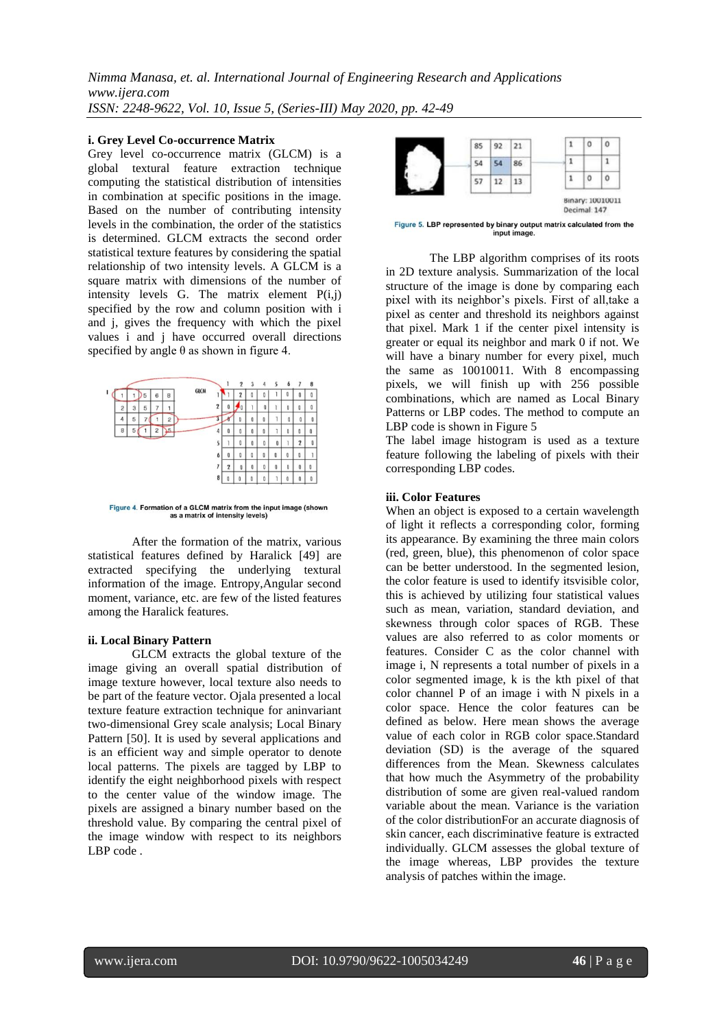#### **i. Grey Level Co-occurrence Matrix**

Grey level co-occurrence matrix (GLCM) is a global textural feature extraction technique computing the statistical distribution of intensities in combination at specific positions in the image. Based on the number of contributing intensity levels in the combination, the order of the statistics is determined. GLCM extracts the second order statistical texture features by considering the spatial relationship of two intensity levels. A GLCM is a square matrix with dimensions of the number of intensity levels G. The matrix element  $P(i,j)$ specified by the row and column position with i and j, gives the frequency with which the pixel values i and j have occurred overall directions specified by angle  $\theta$  as shown in figure 4.



Figure 4. Formation of a GLCM matrix from the input image (shown as a matrix of intensity levels)

After the formation of the matrix, various statistical features defined by Haralick [49] are extracted specifying the underlying textural information of the image. Entropy,Angular second moment, variance, etc. are few of the listed features among the Haralick features.

#### **ii. Local Binary Pattern**

GLCM extracts the global texture of the image giving an overall spatial distribution of image texture however, local texture also needs to be part of the feature vector. Ojala presented a local texture feature extraction technique for aninvariant two-dimensional Grey scale analysis; Local Binary Pattern [50]. It is used by several applications and is an efficient way and simple operator to denote local patterns. The pixels are tagged by LBP to identify the eight neighborhood pixels with respect to the center value of the window image. The pixels are assigned a binary number based on the threshold value. By comparing the central pixel of the image window with respect to its neighbors LBP code .



Figure 5. LBP represented by binary output matrix calculated from the input image.

The LBP algorithm comprises of its roots in 2D texture analysis. Summarization of the local structure of the image is done by comparing each pixel with its neighbor"s pixels. First of all,take a pixel as center and threshold its neighbors against that pixel. Mark 1 if the center pixel intensity is greater or equal its neighbor and mark 0 if not. We will have a binary number for every pixel, much the same as 10010011. With 8 encompassing pixels, we will finish up with 256 possible combinations, which are named as Local Binary Patterns or LBP codes. The method to compute an LBP code is shown in Figure 5

The label image histogram is used as a texture feature following the labeling of pixels with their corresponding LBP codes.

## **iii. Color Features**

When an object is exposed to a certain wavelength of light it reflects a corresponding color, forming its appearance. By examining the three main colors (red, green, blue), this phenomenon of color space can be better understood. In the segmented lesion, the color feature is used to identify itsvisible color, this is achieved by utilizing four statistical values such as mean, variation, standard deviation, and skewness through color spaces of RGB. These values are also referred to as color moments or features. Consider C as the color channel with image i, N represents a total number of pixels in a color segmented image, k is the kth pixel of that color channel P of an image i with N pixels in a color space. Hence the color features can be defined as below. Here mean shows the average value of each color in RGB color space.Standard deviation (SD) is the average of the squared differences from the Mean. Skewness calculates that how much the Asymmetry of the probability distribution of some are given real-valued random variable about the mean. Variance is the variation of the color distributionFor an accurate diagnosis of skin cancer, each discriminative feature is extracted individually. GLCM assesses the global texture of the image whereas, LBP provides the texture analysis of patches within the image.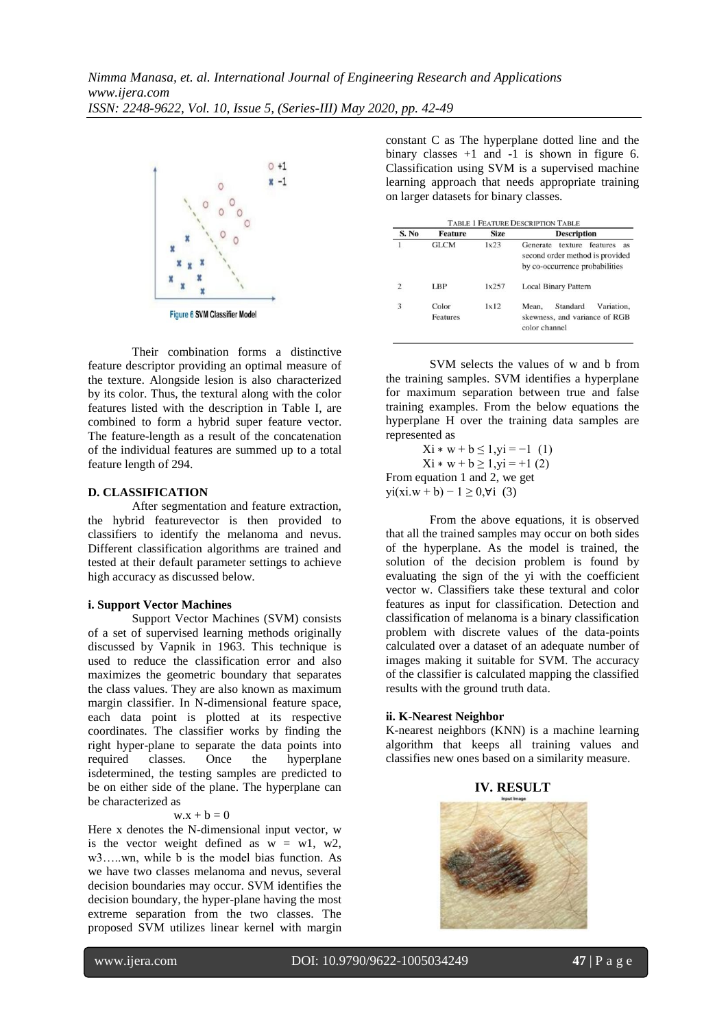

Their combination forms a distinctive feature descriptor providing an optimal measure of the texture. Alongside lesion is also characterized by its color. Thus, the textural along with the color features listed with the description in Table I, are combined to form a hybrid super feature vector. The feature-length as a result of the concatenation of the individual features are summed up to a total feature length of 294.

#### **D. CLASSIFICATION**

After segmentation and feature extraction, the hybrid featurevector is then provided to classifiers to identify the melanoma and nevus. Different classification algorithms are trained and tested at their default parameter settings to achieve high accuracy as discussed below.

#### **i. Support Vector Machines**

Support Vector Machines (SVM) consists of a set of supervised learning methods originally discussed by Vapnik in 1963. This technique is used to reduce the classification error and also maximizes the geometric boundary that separates the class values. They are also known as maximum margin classifier. In N-dimensional feature space, each data point is plotted at its respective coordinates. The classifier works by finding the right hyper-plane to separate the data points into required classes. Once the hyperplane isdetermined, the testing samples are predicted to be on either side of the plane. The hyperplane can be characterized as

#### $w.x + b = 0$

Here x denotes the N-dimensional input vector, w is the vector weight defined as  $w = w1$ , w2, w3…..wn, while b is the model bias function. As we have two classes melanoma and nevus, several decision boundaries may occur. SVM identifies the decision boundary, the hyper-plane having the most extreme separation from the two classes. The proposed SVM utilizes linear kernel with margin

constant C as The hyperplane dotted line and the binary classes  $+1$  and  $-1$  is shown in figure 6. Classification using SVM is a supervised machine learning approach that needs appropriate training on larger datasets for binary classes.

| S. No | <b>Feature</b>    | <b>Size</b> | <b>Description</b>                                                                                      |
|-------|-------------------|-------------|---------------------------------------------------------------------------------------------------------|
|       | <b>GLCM</b>       | 1x23        | texture features<br>Generate<br>as<br>second order method is provided<br>by co-occurrence probabilities |
| 2     | LBP               | 1x257       | <b>Local Binary Pattern</b>                                                                             |
| 3     | Color<br>Features | 1x12        | Standard<br>Variation.<br>Mean.<br>skewness, and variance of RGB<br>color channel                       |

SVM selects the values of w and b from the training samples. SVM identifies a hyperplane for maximum separation between true and false training examples. From the below equations the hyperplane H over the training data samples are represented as

 $Xi * w + b \le 1, yi = -1$  (1)  $Xi * w + b \ge 1, yi = +1 (2)$ From equation 1 and 2, we get  $yi(xi.w + b) - 1 \ge 0, \forall i$  (3)

From the above equations, it is observed that all the trained samples may occur on both sides of the hyperplane. As the model is trained, the solution of the decision problem is found by evaluating the sign of the yi with the coefficient vector w. Classifiers take these textural and color features as input for classification. Detection and classification of melanoma is a binary classification problem with discrete values of the data-points calculated over a dataset of an adequate number of images making it suitable for SVM. The accuracy of the classifier is calculated mapping the classified results with the ground truth data.

#### **ii. K-Nearest Neighbor**

K-nearest neighbors (KNN) is a machine learning algorithm that keeps all training values and classifies new ones based on a similarity measure.

#### **IV. RESULT**

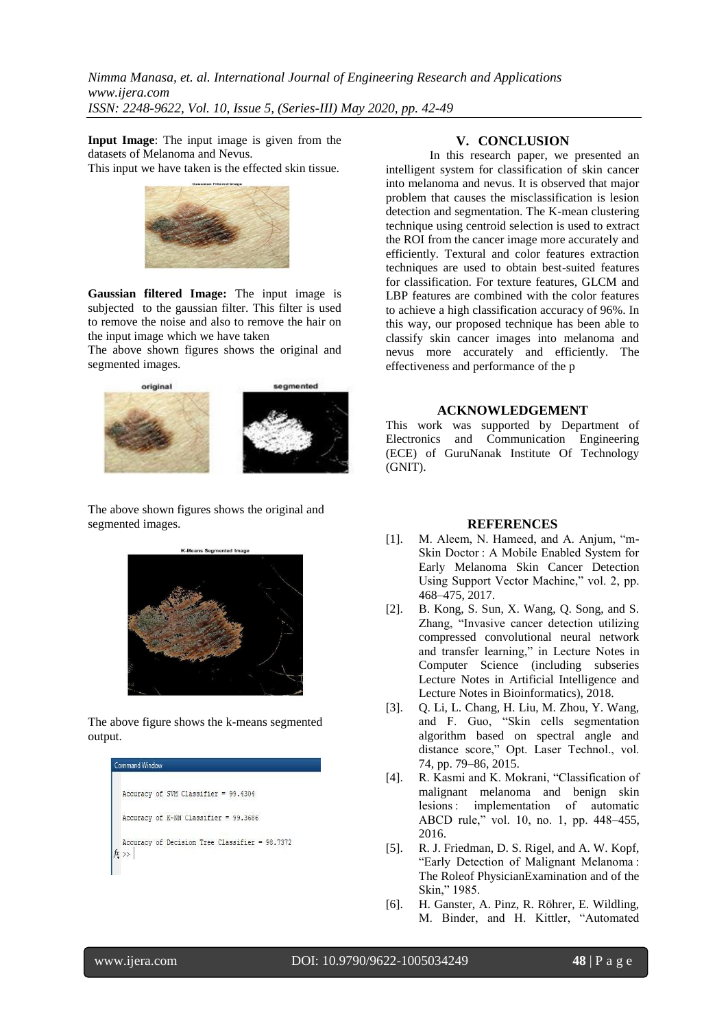**Input Image**: The input image is given from the datasets of Melanoma and Nevus.

This input we have taken is the effected skin tissue.



**Gaussian filtered Image:** The input image is subjected to the gaussian filter. This filter is used to remove the noise and also to remove the hair on the input image which we have taken

The above shown figures shows the original and segmented images.



The above shown figures shows the original and segmented images.



The above figure shows the k-means segmented output.



## **V. CONCLUSION**

In this research paper, we presented an intelligent system for classification of skin cancer into melanoma and nevus. It is observed that major problem that causes the misclassification is lesion detection and segmentation. The K-mean clustering technique using centroid selection is used to extract the ROI from the cancer image more accurately and efficiently. Textural and color features extraction techniques are used to obtain best-suited features for classification. For texture features, GLCM and LBP features are combined with the color features to achieve a high classification accuracy of 96%. In this way, our proposed technique has been able to classify skin cancer images into melanoma and nevus more accurately and efficiently. The effectiveness and performance of the p

#### **ACKNOWLEDGEMENT**

This work was supported by Department of Electronics and Communication Engineering (ECE) of GuruNanak Institute Of Technology (GNIT).

#### **REFERENCES**

- [1]. M. Aleem, N. Hameed, and A. Anjum, "m-Skin Doctor : A Mobile Enabled System for Early Melanoma Skin Cancer Detection Using Support Vector Machine," vol. 2, pp. 468–475, 2017.
- [2]. B. Kong, S. Sun, X. Wang, Q. Song, and S. Zhang, "Invasive cancer detection utilizing compressed convolutional neural network and transfer learning," in Lecture Notes in Computer Science (including subseries Lecture Notes in Artificial Intelligence and Lecture Notes in Bioinformatics), 2018.
- [3]. Q. Li, L. Chang, H. Liu, M. Zhou, Y. Wang, and F. Guo, "Skin cells segmentation algorithm based on spectral angle and distance score," Opt. Laser Technol., vol. 74, pp. 79–86, 2015.
- [4]. R. Kasmi and K. Mokrani, "Classification of malignant melanoma and benign skin lesions : implementation of automatic ABCD rule," vol. 10, no. 1, pp. 448–455, 2016.
- [5]. R. J. Friedman, D. S. Rigel, and A. W. Kopf, "Early Detection of Malignant Melanoma : The Roleof PhysicianExamination and of the Skin," 1985.
- [6]. H. Ganster, A. Pinz, R. Röhrer, E. Wildling, M. Binder, and H. Kittler, "Automated